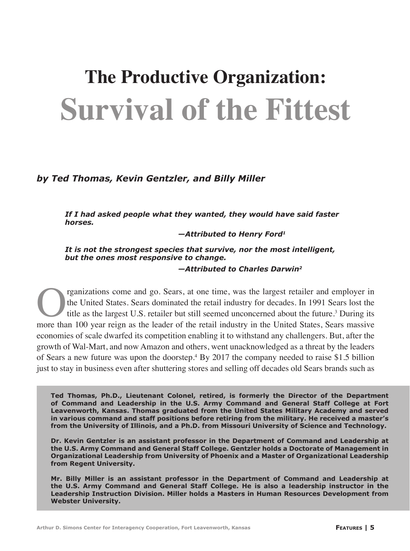# **Survival of the Fittest The Productive Organization:**

## *by Ted Thomas, Kevin Gentzler, and Billy Miller*

*If I had asked people what they wanted, they would have said faster horses.*

 *—Attributed to Henry Ford1*

*It is not the strongest species that survive, nor the most intelligent, but the ones most responsive to change.*

 *—Attributed to Charles Darwin2*

**Come 19 Correct and States.** Sears dominated the retail industry for decades. In 1991 Sears lost the title as the largest U.S. retailer but still seemed unconcerned about the future.<sup>3</sup> During its more than 100 vear reign the United States. Sears dominated the retail industry for decades. In 1991 Sears lost the title as the largest U.S. retailer but still seemed unconcerned about the future.<sup>3</sup> During its more than 100 year reign as the leader of the retail industry in the United States, Sears massive economies of scale dwarfed its competition enabling it to withstand any challengers. But, after the growth of Wal-Mart, and now Amazon and others, went unacknowledged as a threat by the leaders of Sears a new future was upon the doorstep.4 By 2017 the company needed to raise \$1.5 billion just to stay in business even after shuttering stores and selling off decades old Sears brands such as

**Ted Thomas, Ph.D., Lieutenant Colonel, retired, is formerly the Director of the Department of Command and Leadership in the U.S. Army Command and General Staff College at Fort Leavenworth, Kansas. Thomas graduated from the United States Military Academy and served in various command and staff positions before retiring from the military. He received a master's from the University of Illinois, and a Ph.D. from Missouri University of Science and Technology.**

**Dr. Kevin Gentzler is an assistant professor in the Department of Command and Leadership at the U.S. Army Command and General Staff College. Gentzler holds a Doctorate of Management in Organizational Leadership from University of Phoenix and a Master of Organizational Leadership from Regent University.**

**Mr. Billy Miller is an assistant professor in the Department of Command and Leadership at the U.S. Army Command and General Staff College. He is also a leadership instructor in the Leadership Instruction Division. Miller holds a Masters in Human Resources Development from Webster University.**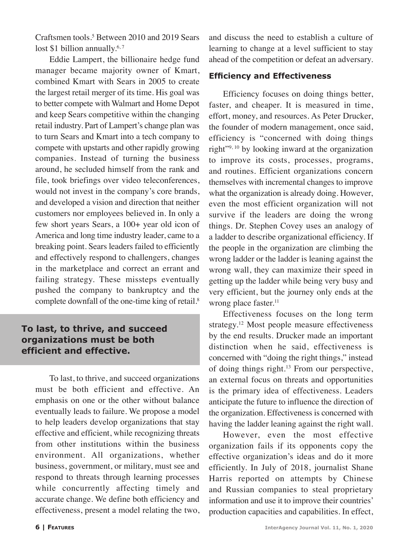Craftsmen tools.<sup>5</sup> Between 2010 and 2019 Sears lost \$1 billion annually. $6,7$ 

Eddie Lampert, the billionaire hedge fund manager became majority owner of Kmart, combined Kmart with Sears in 2005 to create the largest retail merger of its time. His goal was to better compete with Walmart and Home Depot and keep Sears competitive within the changing retail industry. Part of Lampert's change plan was to turn Sears and Kmart into a tech company to compete with upstarts and other rapidly growing companies. Instead of turning the business around, he secluded himself from the rank and file, took briefings over video teleconferences, would not invest in the company's core brands, and developed a vision and direction that neither customers nor employees believed in. In only a few short years Sears, a 100+ year old icon of America and long time industry leader, came to a breaking point. Sears leaders failed to efficiently and effectively respond to challengers, changes in the marketplace and correct an errant and failing strategy. These missteps eventually pushed the company to bankruptcy and the complete downfall of the one-time king of retail.<sup>8</sup>

## **To last, to thrive, and succeed organizations must be both efficient and effective.**

To last, to thrive, and succeed organizations must be both efficient and effective. An emphasis on one or the other without balance eventually leads to failure. We propose a model to help leaders develop organizations that stay effective and efficient, while recognizing threats from other institutions within the business environment. All organizations, whether business, government, or military, must see and respond to threats through learning processes while concurrently affecting timely and accurate change. We define both efficiency and effectiveness, present a model relating the two, and discuss the need to establish a culture of learning to change at a level sufficient to stay ahead of the competition or defeat an adversary.

## **Efficiency and Effectiveness**

Efficiency focuses on doing things better, faster, and cheaper. It is measured in time, effort, money, and resources. As Peter Drucker, the founder of modern management, once said, efficiency is "concerned with doing things right"9, 10 by looking inward at the organization to improve its costs, processes, programs, and routines. Efficient organizations concern themselves with incremental changes to improve what the organization is already doing. However, even the most efficient organization will not survive if the leaders are doing the wrong things. Dr. Stephen Covey uses an analogy of a ladder to describe organizational efficiency. If the people in the organization are climbing the wrong ladder or the ladder is leaning against the wrong wall, they can maximize their speed in getting up the ladder while being very busy and very efficient, but the journey only ends at the wrong place faster.<sup>11</sup>

Effectiveness focuses on the long term strategy.<sup>12</sup> Most people measure effectiveness by the end results. Drucker made an important distinction when he said, effectiveness is concerned with "doing the right things," instead of doing things right.<sup>13</sup> From our perspective, an external focus on threats and opportunities is the primary idea of effectiveness. Leaders anticipate the future to influence the direction of the organization. Effectiveness is concerned with having the ladder leaning against the right wall.

However, even the most effective organization fails if its opponents copy the effective organization's ideas and do it more efficiently. In July of 2018, journalist Shane Harris reported on attempts by Chinese and Russian companies to steal proprietary information and use it to improve their countries' production capacities and capabilities. In effect,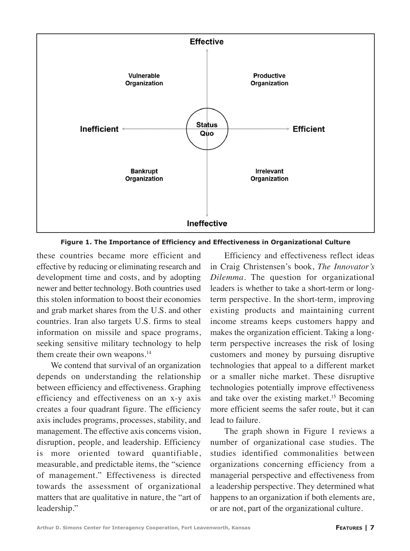

**Figure 1. The Importance of Efficiency and Effectiveness in Organizational Culture**

these countries became more efficient and effective by reducing or eliminating research and development time and costs, and by adopting newer and better technology. Both countries used this stolen information to boost their economies and grab market shares from the U.S. and other countries. Iran also targets U.S. firms to steal information on missile and space programs, seeking sensitive military technology to help them create their own weapons.<sup>14</sup>

We contend that survival of an organization depends on understanding the relationship between efficiency and effectiveness. Graphing efficiency and effectiveness on an x-y axis creates a four quadrant figure. The efficiency axis includes programs, processes, stability, and management. The effective axis concerns vision, disruption, people, and leadership. Efficiency is more oriented toward quantifiable, measurable, and predictable items, the "science of management." Effectiveness is directed towards the assessment of organizational matters that are qualitative in nature, the "art of leadership."

Efficiency and effectiveness reflect ideas in Craig Christensen's book, *The Innovator's Dilemma*. The question for organizational leaders is whether to take a short-term or longterm perspective. In the short-term, improving existing products and maintaining current income streams keeps customers happy and makes the organization efficient. Taking a longterm perspective increases the risk of losing customers and money by pursuing disruptive technologies that appeal to a different market or a smaller niche market. These disruptive technologies potentially improve effectiveness and take over the existing market.<sup>15</sup> Becoming more efficient seems the safer route, but it can lead to failure.

The graph shown in Figure 1 reviews a number of organizational case studies. The studies identified commonalities between organizations concerning efficiency from a managerial perspective and effectiveness from a leadership perspective. They determined what happens to an organization if both elements are, or are not, part of the organizational culture.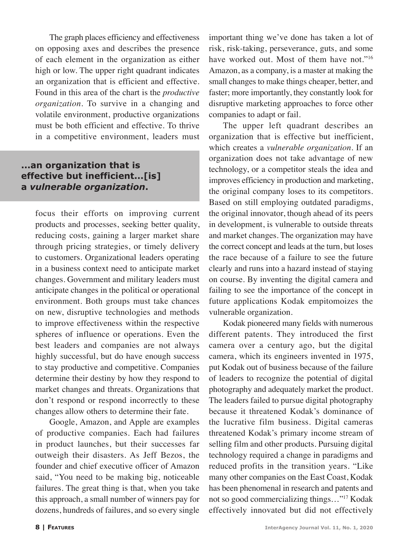The graph places efficiency and effectiveness on opposing axes and describes the presence of each element in the organization as either high or low. The upper right quadrant indicates an organization that is efficient and effective. Found in this area of the chart is the *productive organization.* To survive in a changing and volatile environment, productive organizations must be both efficient and effective. To thrive in a competitive environment, leaders must

# **...an organization that is effective but inefficient...[is] a** *vulnerable organization***.**

focus their efforts on improving current products and processes, seeking better quality, reducing costs, gaining a larger market share through pricing strategies, or timely delivery to customers. Organizational leaders operating in a business context need to anticipate market changes. Government and military leaders must anticipate changes in the political or operational environment. Both groups must take chances on new, disruptive technologies and methods to improve effectiveness within the respective spheres of influence or operations. Even the best leaders and companies are not always highly successful, but do have enough success to stay productive and competitive. Companies determine their destiny by how they respond to market changes and threats. Organizations that don't respond or respond incorrectly to these changes allow others to determine their fate.

Google, Amazon, and Apple are examples of productive companies. Each had failures in product launches, but their successes far outweigh their disasters. As Jeff Bezos, the founder and chief executive officer of Amazon said, "You need to be making big, noticeable failures. The great thing is that, when you take this approach, a small number of winners pay for dozens, hundreds of failures, and so every single

important thing we've done has taken a lot of risk, risk-taking, perseverance, guts, and some have worked out. Most of them have not."<sup>16</sup> Amazon, as a company, is a master at making the small changes to make things cheaper, better, and faster; more importantly, they constantly look for disruptive marketing approaches to force other companies to adapt or fail.

The upper left quadrant describes an organization that is effective but inefficient, which creates a *vulnerable organization*. If an organization does not take advantage of new technology, or a competitor steals the idea and improves efficiency in production and marketing, the original company loses to its competitors. Based on still employing outdated paradigms, the original innovator, though ahead of its peers in development, is vulnerable to outside threats and market changes. The organization may have the correct concept and leads at the turn, but loses the race because of a failure to see the future clearly and runs into a hazard instead of staying on course. By inventing the digital camera and failing to see the importance of the concept in future applications Kodak empitomoizes the vulnerable organization.

Kodak pioneered many fields with numerous different patents. They introduced the first camera over a century ago, but the digital camera, which its engineers invented in 1975, put Kodak out of business because of the failure of leaders to recognize the potential of digital photography and adequately market the product. The leaders failed to pursue digital photography because it threatened Kodak's dominance of the lucrative film business. Digital cameras threatened Kodak's primary income stream of selling film and other products. Pursuing digital technology required a change in paradigms and reduced profits in the transition years. "Like many other companies on the East Coast, Kodak has been phenomenal in research and patents and not so good commercializing things…"17 Kodak effectively innovated but did not effectively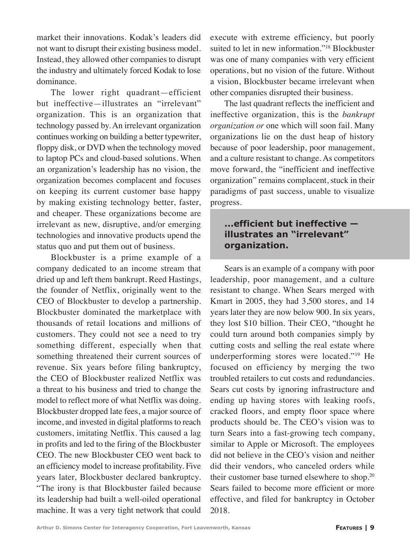market their innovations. Kodak's leaders did not want to disrupt their existing business model. Instead, they allowed other companies to disrupt the industry and ultimately forced Kodak to lose dominance.

The lower right quadrant—efficient but ineffective—illustrates an "irrelevant" organization. This is an organization that technology passed by. An irrelevant organization continues working on building a better typewriter, floppy disk, or DVD when the technology moved to laptop PCs and cloud-based solutions. When an organization's leadership has no vision, the organization becomes complacent and focuses on keeping its current customer base happy by making existing technology better, faster, and cheaper. These organizations become are irrelevant as new, disruptive, and/or emerging technologies and innovative products upend the status quo and put them out of business.

Blockbuster is a prime example of a company dedicated to an income stream that dried up and left them bankrupt. Reed Hastings, the founder of Netflix, originally went to the CEO of Blockbuster to develop a partnership. Blockbuster dominated the marketplace with thousands of retail locations and millions of customers. They could not see a need to try something different, especially when that something threatened their current sources of revenue. Six years before filing bankruptcy, the CEO of Blockbuster realized Netflix was a threat to his business and tried to change the model to reflect more of what Netflix was doing. Blockbuster dropped late fees, a major source of income, and invested in digital platforms to reach customers, imitating Netflix. This caused a lag in profits and led to the firing of the Blockbuster CEO. The new Blockbuster CEO went back to an efficiency model to increase profitability. Five years later, Blockbuster declared bankruptcy. "The irony is that Blockbuster failed because its leadership had built a well-oiled operational machine. It was a very tight network that could execute with extreme efficiency, but poorly suited to let in new information."<sup>18</sup> Blockbuster was one of many companies with very efficient operations, but no vision of the future. Without a vision, Blockbuster became irrelevant when other companies disrupted their business.

The last quadrant reflects the inefficient and ineffective organization, this is the *bankrupt organization or* one which will soon fail. Many organizations lie on the dust heap of history because of poor leadership, poor management, and a culture resistant to change. As competitors move forward, the "inefficient and ineffective organization" remains complacent, stuck in their paradigms of past success, unable to visualize progress.

# **...efficient but ineffective illustrates an "irrelevant" organization.**

Sears is an example of a company with poor leadership, poor management, and a culture resistant to change. When Sears merged with Kmart in 2005, they had 3,500 stores, and 14 years later they are now below 900. In six years, they lost \$10 billion. Their CEO, "thought he could turn around both companies simply by cutting costs and selling the real estate where underperforming stores were located."19 He focused on efficiency by merging the two troubled retailers to cut costs and redundancies. Sears cut costs by ignoring infrastructure and ending up having stores with leaking roofs, cracked floors, and empty floor space where products should be. The CEO's vision was to turn Sears into a fast-growing tech company, similar to Apple or Microsoft. The employees did not believe in the CEO's vision and neither did their vendors, who canceled orders while their customer base turned elsewhere to shop.20 Sears failed to become more efficient or more effective, and filed for bankruptcy in October 2018.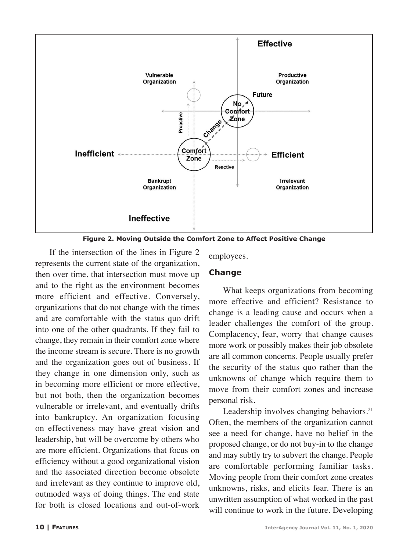

**Figure 2. Moving Outside the Comfort Zone to Affect Positive Change**

If the intersection of the lines in Figure 2 represents the current state of the organization, then over time, that intersection must move up and to the right as the environment becomes more efficient and effective. Conversely, organizations that do not change with the times and are comfortable with the status quo drift into one of the other quadrants. If they fail to change, they remain in their comfort zone where the income stream is secure. There is no growth and the organization goes out of business. If they change in one dimension only, such as in becoming more efficient or more effective, but not both, then the organization becomes vulnerable or irrelevant, and eventually drifts into bankruptcy. An organization focusing on effectiveness may have great vision and leadership, but will be overcome by others who are more efficient. Organizations that focus on efficiency without a good organizational vision and the associated direction become obsolete and irrelevant as they continue to improve old, outmoded ways of doing things. The end state for both is closed locations and out-of-work

employees.

#### **Change**

What keeps organizations from becoming more effective and efficient? Resistance to change is a leading cause and occurs when a leader challenges the comfort of the group. Complacency, fear, worry that change causes more work or possibly makes their job obsolete are all common concerns. People usually prefer the security of the status quo rather than the unknowns of change which require them to move from their comfort zones and increase personal risk.

Leadership involves changing behaviors.<sup>21</sup> Often, the members of the organization cannot see a need for change, have no belief in the proposed change, or do not buy-in to the change and may subtly try to subvert the change. People are comfortable performing familiar tasks. Moving people from their comfort zone creates unknowns, risks, and elicits fear. There is an unwritten assumption of what worked in the past will continue to work in the future. Developing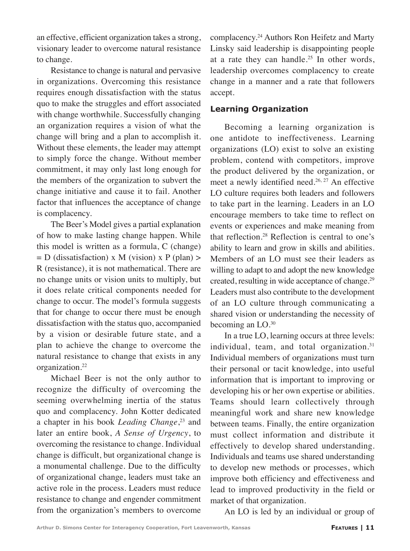an effective, efficient organization takes a strong, visionary leader to overcome natural resistance to change.

Resistance to change is natural and pervasive in organizations. Overcoming this resistance requires enough dissatisfaction with the status quo to make the struggles and effort associated with change worthwhile. Successfully changing an organization requires a vision of what the change will bring and a plan to accomplish it. Without these elements, the leader may attempt to simply force the change. Without member commitment, it may only last long enough for the members of the organization to subvert the change initiative and cause it to fail. Another factor that influences the acceptance of change is complacency.

The Beer's Model gives a partial explanation of how to make lasting change happen. While this model is written as a formula, C (change)  $= D$  (dissatisfaction) x M (vision) x P (plan) > R (resistance), it is not mathematical. There are no change units or vision units to multiply, but it does relate critical components needed for change to occur. The model's formula suggests that for change to occur there must be enough dissatisfaction with the status quo, accompanied by a vision or desirable future state, and a plan to achieve the change to overcome the natural resistance to change that exists in any organization.<sup>22</sup>

Michael Beer is not the only author to recognize the difficulty of overcoming the seeming overwhelming inertia of the status quo and complacency. John Kotter dedicated a chapter in his book *Leading Change*, 23 and later an entire book, *A Sense of Urgency*, to overcoming the resistance to change. Individual change is difficult, but organizational change is a monumental challenge. Due to the difficulty of organizational change, leaders must take an active role in the process. Leaders must reduce resistance to change and engender commitment from the organization's members to overcome

complacency.24 Authors Ron Heifetz and Marty Linsky said leadership is disappointing people at a rate they can handle.<sup>25</sup> In other words, leadership overcomes complacency to create change in a manner and a rate that followers accept.

### **Learning Organization**

Becoming a learning organization is one antidote to ineffectiveness. Learning organizations (LO) exist to solve an existing problem, contend with competitors, improve the product delivered by the organization, or meet a newly identified need.<sup>26, 27</sup> An effective LO culture requires both leaders and followers to take part in the learning. Leaders in an LO encourage members to take time to reflect on events or experiences and make meaning from that reflection.28 Reflection is central to one's ability to learn and grow in skills and abilities. Members of an LO must see their leaders as willing to adapt to and adopt the new knowledge created, resulting in wide acceptance of change.29 Leaders must also contribute to the development of an LO culture through communicating a shared vision or understanding the necessity of becoming an LO.<sup>30</sup>

In a true LO, learning occurs at three levels: individual, team, and total organization. $31$ Individual members of organizations must turn their personal or tacit knowledge, into useful information that is important to improving or developing his or her own expertise or abilities. Teams should learn collectively through meaningful work and share new knowledge between teams. Finally, the entire organization must collect information and distribute it effectively to develop shared understanding. Individuals and teams use shared understanding to develop new methods or processes, which improve both efficiency and effectiveness and lead to improved productivity in the field or market of that organization.

An LO is led by an individual or group of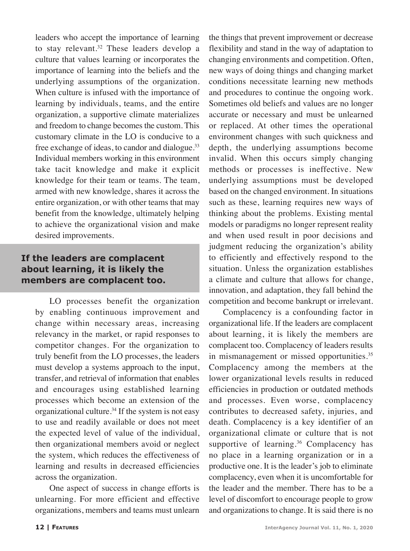leaders who accept the importance of learning to stay relevant.<sup>32</sup> These leaders develop a culture that values learning or incorporates the importance of learning into the beliefs and the underlying assumptions of the organization. When culture is infused with the importance of learning by individuals, teams, and the entire organization, a supportive climate materializes and freedom to change becomes the custom. This customary climate in the LO is conducive to a free exchange of ideas, to candor and dialogue.<sup>33</sup> Individual members working in this environment take tacit knowledge and make it explicit knowledge for their team or teams. The team, armed with new knowledge, shares it across the entire organization, or with other teams that may benefit from the knowledge, ultimately helping to achieve the organizational vision and make desired improvements.

# **If the leaders are complacent about learning, it is likely the members are complacent too.**

LO processes benefit the organization by enabling continuous improvement and change within necessary areas, increasing relevancy in the market, or rapid responses to competitor changes. For the organization to truly benefit from the LO processes, the leaders must develop a systems approach to the input, transfer, and retrieval of information that enables and encourages using established learning processes which become an extension of the organizational culture.34 If the system is not easy to use and readily available or does not meet the expected level of value of the individual, then organizational members avoid or neglect the system, which reduces the effectiveness of learning and results in decreased efficiencies across the organization.

One aspect of success in change efforts is unlearning. For more efficient and effective organizations, members and teams must unlearn

the things that prevent improvement or decrease flexibility and stand in the way of adaptation to changing environments and competition. Often, new ways of doing things and changing market conditions necessitate learning new methods and procedures to continue the ongoing work. Sometimes old beliefs and values are no longer accurate or necessary and must be unlearned or replaced. At other times the operational environment changes with such quickness and depth, the underlying assumptions become invalid. When this occurs simply changing methods or processes is ineffective. New underlying assumptions must be developed based on the changed environment. In situations such as these, learning requires new ways of thinking about the problems. Existing mental models or paradigms no longer represent reality and when used result in poor decisions and judgment reducing the organization's ability to efficiently and effectively respond to the situation. Unless the organization establishes a climate and culture that allows for change, innovation, and adaptation, they fall behind the competition and become bankrupt or irrelevant.

Complacency is a confounding factor in organizational life. If the leaders are complacent about learning, it is likely the members are complacent too. Complacency of leaders results in mismanagement or missed opportunities.<sup>35</sup> Complacency among the members at the lower organizational levels results in reduced efficiencies in production or outdated methods and processes. Even worse, complacency contributes to decreased safety, injuries, and death. Complacency is a key identifier of an organizational climate or culture that is not supportive of learning.<sup>36</sup> Complacency has no place in a learning organization or in a productive one. It is the leader's job to eliminate complacency, even when it is uncomfortable for the leader and the member. There has to be a level of discomfort to encourage people to grow and organizations to change. It is said there is no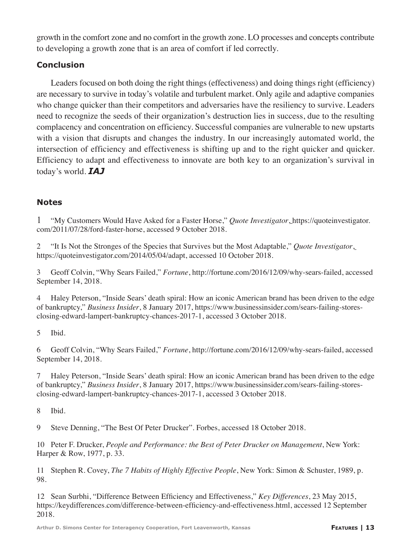growth in the comfort zone and no comfort in the growth zone. LO processes and concepts contribute to developing a growth zone that is an area of comfort if led correctly.

## **Conclusion**

Leaders focused on both doing the right things (effectiveness) and doing things right (efficiency) are necessary to survive in today's volatile and turbulent market. Only agile and adaptive companies who change quicker than their competitors and adversaries have the resiliency to survive. Leaders need to recognize the seeds of their organization's destruction lies in success, due to the resulting complacency and concentration on efficiency. Successful companies are vulnerable to new upstarts with a vision that disrupts and changes the industry. In our increasingly automated world, the intersection of efficiency and effectiveness is shifting up and to the right quicker and quicker. Efficiency to adapt and effectiveness to innovate are both key to an organization's survival in today's world. *IAJ*

## **Notes**

1 "My Customers Would Have Asked for a Faster Horse," *Quote Investigator*, https://quoteinvestigator. com/2011/07/28/ford-faster-horse, accessed 9 October 2018.

2 "It Is Not the Stronges of the Species that Survives but the Most Adaptable," *Quote Investigator*, https://quoteinvestigator.com/2014/05/04/adapt, accessed 10 October 2018.

3 Geoff Colvin, "Why Sears Failed," *Fortune*, http://fortune.com/2016/12/09/why-sears-failed, accessed September 14, 2018.

4 Haley Peterson, "Inside Sears' death spiral: How an iconic American brand has been driven to the edge of bankruptcy," *Business Insider*, 8 January 2017, https://www.businessinsider.com/sears-failing-storesclosing-edward-lampert-bankruptcy-chances-2017-1, accessed 3 October 2018.

5 Ibid.

6 Geoff Colvin, "Why Sears Failed," *Fortune*, http://fortune.com/2016/12/09/why-sears-failed, accessed September 14, 2018.

7 Haley Peterson, "Inside Sears' death spiral: How an iconic American brand has been driven to the edge of bankruptcy," *Business Insider*, 8 January 2017, https://www.businessinsider.com/sears-failing-storesclosing-edward-lampert-bankruptcy-chances-2017-1, accessed 3 October 2018.

8 Ibid.

9 Steve Denning, "The Best Of Peter Drucker". Forbes, accessed 18 October 2018.

10 Peter F. Drucker, *People and Performance: the Best of Peter Drucker on Management*, New York: Harper & Row, 1977, p. 33.

11 Stephen R. Covey, *The 7 Habits of Highly Effective People*, New York: Simon & Schuster, 1989, p. 98.

12 Sean Surbhi, "Difference Between Efficiency and Effectiveness," *Key Differences*, 23 May 2015, https://keydifferences.com/difference-between-efficiency-and-effectiveness.html, accessed 12 September 2018.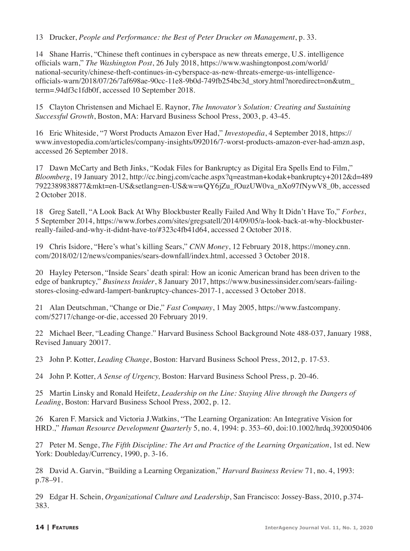13 Drucker, *People and Performance: the Best of Peter Drucker on Management*, p. 33.

14 Shane Harris, "Chinese theft continues in cyberspace as new threats emerge, U.S. intelligence officials warn," *The Washington Post*, 26 July 2018, https://www.washingtonpost.com/world/ national-security/chinese-theft-continues-in-cyberspace-as-new-threats-emerge-us-intelligenceofficials-warn/2018/07/26/7af698ae-90cc-11e8-9b0d-749fb254bc3d\_story.html?noredirect=on&utm\_ term=.94df3c1fdb0f, accessed 10 September 2018.

15 Clayton Christensen and Michael E. Raynor, *The Innovator's Solution: Creating and Sustaining Successful Growth*, Boston, MA: Harvard Business School Press, 2003, p. 43-45.

16 Eric Whiteside, "7 Worst Products Amazon Ever Had," *Investopedia*, 4 September 2018, https:// www.investopedia.com/articles/company-insights/092016/7-worst-products-amazon-ever-had-amzn.asp, accessed 26 September 2018.

17 Dawn McCarty and Beth Jinks, "Kodak Files for Bankruptcy as Digital Era Spells End to Film," *Bloomberg*, 19 January 2012, http://cc.bingj.com/cache.aspx?q=eastman+kodak+bankruptcy+2012&d=489 7922389838877&mkt=en-US&setlang=en-US&w=wQY6jZu\_fOuzUW0va\_nXo97fNywV8\_0b, accessed 2 October 2018.

18 Greg Satell, "A Look Back At Why Blockbuster Really Failed And Why It Didn't Have To," *Forbes*, 5 September 2014, https://www.forbes.com/sites/gregsatell/2014/09/05/a-look-back-at-why-blockbusterreally-failed-and-why-it-didnt-have-to/#323c4fb41d64, accessed 2 October 2018.

19 Chris Isidore, "Here's what's killing Sears," *CNN Money*, 12 February 2018, https://money.cnn. com/2018/02/12/news/companies/sears-downfall/index.html, accessed 3 October 2018.

20 Hayley Peterson, "Inside Sears' death spiral: How an iconic American brand has been driven to the edge of bankruptcy," *Business Insider*, 8 January 2017, https://www.businessinsider.com/sears-failingstores-closing-edward-lampert-bankruptcy-chances-2017-1, accessed 3 October 2018.

21 Alan Deutschman, "Change or Die," *Fast Company*, 1 May 2005, https://www.fastcompany. com/52717/change-or-die, accessed 20 February 2019.

22 Michael Beer, "Leading Change." Harvard Business School Background Note 488-037, January 1988, Revised January 20017.

23 John P. Kotter, *Leading Change*, Boston: Harvard Business School Press, 2012, p. 17-53.

24 John P. Kotter, *A Sense of Urgency,* Boston: Harvard Business School Press, p. 20-46.

25 Martin Linsky and Ronald Heifetz, *Leadership on the Line: Staying Alive through the Dangers of Leading*, Boston: Harvard Business School Press, 2002, p. 12.

26 Karen F. Marsick and Victoria J.Watkins, "The Learning Organization: An Integrative Vision for HRD.," *Human Resource Development Quarterly* 5, no. 4, 1994: p. 353–60, doi:10.1002/hrdq.3920050406

27 Peter M. Senge, *The Fifth Discipline: The Art and Practice of the Learning Organization*, 1st ed. New York: Doubleday/Currency, 1990, p. 3-16.

28 David A. Garvin, "Building a Learning Organization," *Harvard Business Review* 71, no. 4, 1993: p.78–91.

29 Edgar H. Schein, *Organizational Culture and Leadership*, San Francisco: Jossey-Bass, 2010, p.374- 383.